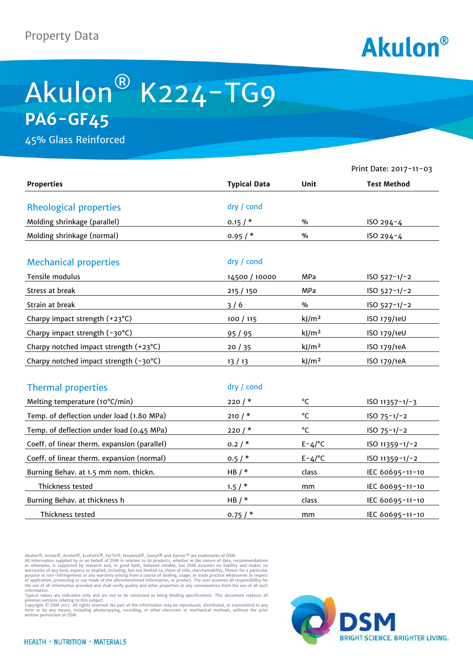

## Akulon® K224-TG9 **PA6-GF45**

45% Glass Reinforced

|                                              |                     |                   | Print Date: 2017-11-03 |
|----------------------------------------------|---------------------|-------------------|------------------------|
| <b>Properties</b>                            | <b>Typical Data</b> | Unit              | <b>Test Method</b>     |
| <b>Rheological properties</b>                | dry / cond          |                   |                        |
| Molding shrinkage (parallel)                 | 0.15/               | $\%$              | ISO 294-4              |
| Molding shrinkage (normal)                   | 0.95/               | $\frac{0}{0}$     | ISO 294-4              |
| <b>Mechanical properties</b>                 | dry / cond          |                   |                        |
| Tensile modulus                              | 14500 / 10000       | MPa               | $ISO 527-1/-2$         |
| Stress at break                              | 215/150             | MPa               | $ISO 527-1/-2$         |
| Strain at break                              | 3/6                 | $\%$              | $ISO 527-1/-2$         |
| Charpy impact strength (+23°C)               | 100 / 115           | kJ/m <sup>2</sup> | ISO 179/1eU            |
| Charpy impact strength (-30°C)               | 95 / 95             | kJ/m <sup>2</sup> | ISO 179/1eU            |
| Charpy notched impact strength (+23°C)       | 20/35               | kJ/m <sup>2</sup> | ISO 179/1eA            |
| Charpy notched impact strength (-30°C)       | 13/13               | kJ/m <sup>2</sup> | ISO 179/1eA            |
| <b>Thermal properties</b>                    | dry / cond          |                   |                        |
| Melting temperature (10°C/min)               | 220/                | °C                | $ISO 11357 - 1/-3$     |
| Temp. of deflection under load (1.80 MPa)    | 210/                | °C                | $ISO 75-1/-2$          |
| Temp. of deflection under load (0.45 MPa)    | 220/                | °C                | ISO $75 - 1/-2$        |
| Coeff. of linear therm. expansion (parallel) | 0.2/                | $E - 4/°C$        | ISO 11359-1/-2         |
| Coeff. of linear therm. expansion (normal)   | 0.5/                | $E - 4/°C$        | $ISO 11359 - 1/-2$     |
| Burning Behav. at 1.5 mm nom. thickn.        | HB $/*$             | class             | IEC 60695-11-10        |
| Thickness tested                             | 1.5/                | mm                | IEC 60695-11-10        |
| Burning Behav. at thickness h                | HB $/$ *            | class             | IEC 60695-11-10        |
| Thickness tested                             | 0.75/               | mm                | IEC 60695-11-10        |

Akulon®, Arnite®, Arnitel®, EcoPaXX®, ForTii®, Novamid®, Stanyl® and Xytron™ are trademarks of DSM.

All information supplied by or on behalf of DSM in relation to its products, whether in the nature of data, recommendations<br>or otherwise, is supported by research and, in good faith, believed reliable, but DSM assumes no l

information.<br>Typical values are indicative only and are not to be construed as being binding specifications. This document replaces all<br>previous versions relating to this subject.<br>Copyright © DSM 2017. All rights reserved.